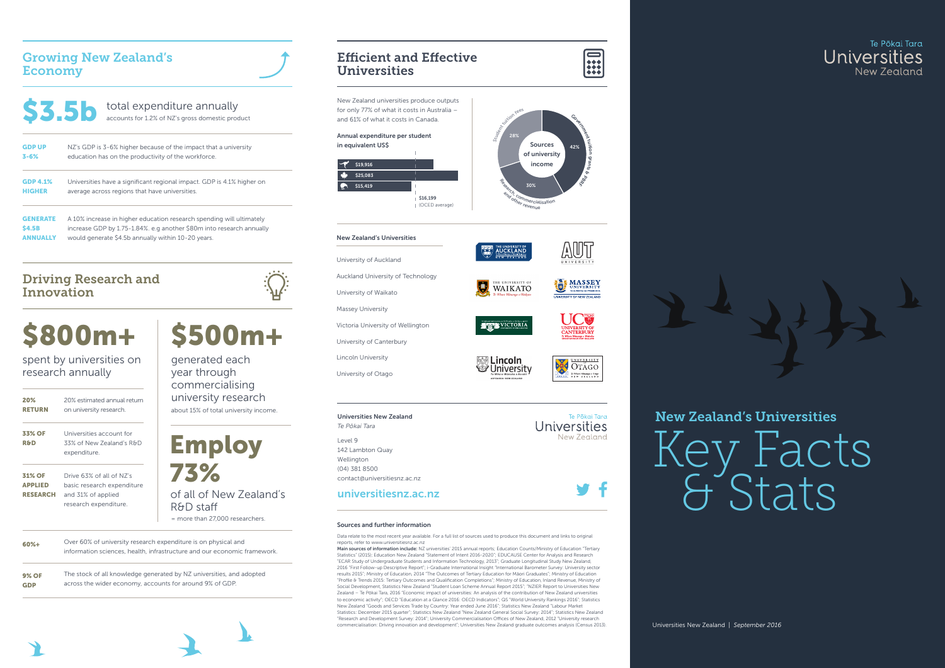### New Zealand's Universities

Universities New Zealand | *September 2016*



### Efficient and Effective Universities

### Sources and further information

Data relate to the most recent year available. For a full list of sources used to produce this document and links to original reports, refer t[o www.universitiesnz.ac.nz](http://www.universitiesnz.ac.nz/)

Main sources of information include: NZ universities' 2015 annual reports; Education Counts/Ministry of Education "Tertiary Statistics" (2015); Education New Zealand "Statement of Intent 2016-2020"; EDUCAUSE Center for Analysis and Research "ECAR Study of Undergraduate Students and Information Technology, 2013"; Graduate Longitudinal Study New Zealand, 2016 "First Follow-up Descriptive Report"; i-Graduate International Insight "International Barometer Survey: University sector results 2015"; Ministry of Education, 2014 "The Outcomes of Tertiary Education for Māori Graduates"; Ministry of Education "Profile & Trends 2015: Tertiary Outcomes and Qualification Completions"; Ministry of Education, Inland Revenue, Ministry of Social Development, Statistics New Zealand "Student Loan Scheme Annual Report 2015"; "NZIER Report to Universities New Zealand – Te Pōkai Tara, 2016 "Economic impact of universities: An analysis of the contribution of New Zealand universities to economic activity"; OECD "Education at a Glance 2016: OECD Indicators"; QS "World University Rankings 2016"; Statistics New Zealand "Goods and Services Trade by Country: Year ended June 2016"; Statistics New Zealand "Labour Market Statistics: December 2015 quarter"; Statistics New Zealand "New Zealand General Social Survey: 2014"; Statistics New Zealand "Research and Development Survey: 2014"; University Commercialisation Offices of New Zealand, 2012 "University research commercialisation: Driving innovation and development"; Universities New Zealand graduate outcomes analysis (Census 2013).









### Growing New Zealand's Economy

= more than 27,000 researchers.

| <b>S3.5b</b>    | total expenditure annually<br>accounts for 1.2% of NZ's gross domestic product |
|-----------------|--------------------------------------------------------------------------------|
| <b>GDP UP</b>   | NZ's GDP is 3-6% higher because of the impact that a university                |
| $3 - 6%$        | education has on the productivity of the workforce.                            |
| <b>GDP 4.1%</b> | Universities have a significant regional impact. GDP is 4.1% higher on         |
| <b>HIGHER</b>   | average across regions that have universities.                                 |
| <b>GENERATE</b> | A 10% increase in higher education research spending will ultimately           |
| <b>\$4.5B</b>   | increase GDP by 1.75-1.84%, e.g another \$80m into research annually           |
| ANNUALLY        | would generate \$4.5b annually within 10-20 years.                             |

| 20%<br><b>RETURN</b>                               | 20% estimated annual return<br>on university research.                                                |
|----------------------------------------------------|-------------------------------------------------------------------------------------------------------|
| 33% OF<br><b>R&amp;D</b>                           | Universities account for<br>33% of New Zealand's R&D<br>expenditure.                                  |
| <b>31% OF</b><br><b>APPLIED</b><br><b>RESEARCH</b> | Drive 63% of all of NZ's<br>basic research expenditure<br>and 31% of applied<br>research expenditure. |
|                                                    | Twar 60% of university research                                                                       |

about 15% of total university income. generated each year through commercialising university research

Over 60% of university research expenditure is on physical and information sciences, health, infrastructure and our economic framework. 60%+

The stock of all knowledge generated by NZ universities, and adopted across the wider economy, accounts for around 9% of GDP. 9% OF GDP

spent by universities on research annually





### Driving Research and Innovation